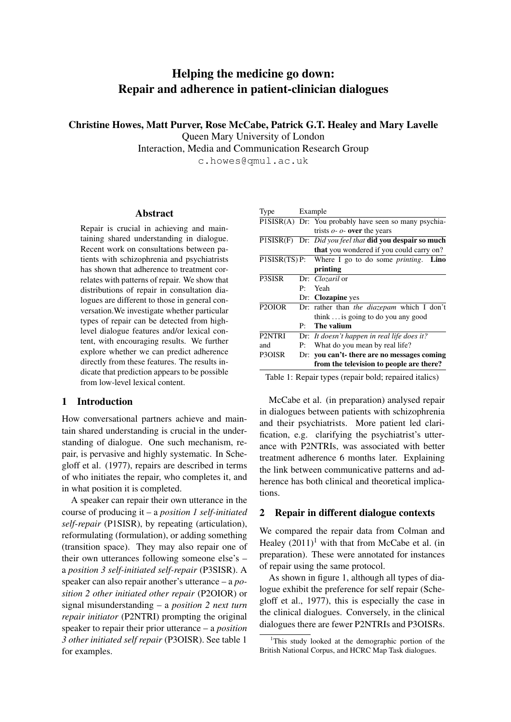# Helping the medicine go down: Repair and adherence in patient-clinician dialogues

Christine Howes, Matt Purver, Rose McCabe, Patrick G.T. Healey and Mary Lavelle

Queen Mary University of London

Interaction, Media and Communication Research Group

c.howes@qmul.ac.uk

## Abstract

Repair is crucial in achieving and maintaining shared understanding in dialogue. Recent work on consultations between patients with schizophrenia and psychiatrists has shown that adherence to treatment correlates with patterns of repair. We show that distributions of repair in consultation dialogues are different to those in general conversation.We investigate whether particular types of repair can be detected from highlevel dialogue features and/or lexical content, with encouraging results. We further explore whether we can predict adherence directly from these features. The results indicate that prediction appears to be possible from low-level lexical content.

## 1 Introduction

How conversational partners achieve and maintain shared understanding is crucial in the understanding of dialogue. One such mechanism, repair, is pervasive and highly systematic. In Schegloff et al. (1977), repairs are described in terms of who initiates the repair, who completes it, and in what position it is completed.

A speaker can repair their own utterance in the course of producing it – a *position 1 self-initiated self-repair* (P1SISR), by repeating (articulation), reformulating (formulation), or adding something (transition space). They may also repair one of their own utterances following someone else's – a *position 3 self-initiated self-repair* (P3SISR). A speaker can also repair another's utterance – a *position 2 other initiated other repair* (P2OIOR) or signal misunderstanding – a *position 2 next turn repair initiator* (P2NTRI) prompting the original speaker to repair their prior utterance – a *position 3 other initiated self repair* (P3OISR). See table 1 for examples.

| Type                |                                      | Example                                                    |  |  |
|---------------------|--------------------------------------|------------------------------------------------------------|--|--|
|                     |                                      | PISISR(A) Dr: You probably have seen so many psychia-      |  |  |
|                     |                                      | trists $o$ - $o$ - over the years                          |  |  |
|                     |                                      | P1SISR(F) Dr: Did you feel that did you despair so much    |  |  |
|                     |                                      | <b>that</b> you wondered if you could carry on?            |  |  |
|                     |                                      | P1SISR(TS) P: Where I go to do some <i>printing</i> . Lino |  |  |
|                     |                                      | printing                                                   |  |  |
| <b>P3SISR</b>       |                                      | Dr: <i>Clozaril</i> or                                     |  |  |
|                     | $\mathbf{P}$                         | Yeah                                                       |  |  |
|                     |                                      | Dr: Clozapine yes                                          |  |  |
| P <sub>2</sub> OIOR |                                      | Dr: rather than <i>the diazepam</i> which I don't          |  |  |
|                     |                                      | think $\ldots$ is going to do you any good                 |  |  |
|                     | $\mathbf{P}$                         | The valium                                                 |  |  |
| P2NTRI              |                                      | Dr: It doesn't happen in real life does it?                |  |  |
| and                 | What do you mean by real life?<br>P: |                                                            |  |  |
| P3OISR              |                                      | Dr: you can't there are no messages coming                 |  |  |
|                     |                                      | from the television to people are there?                   |  |  |

Table 1: Repair types (repair bold; repaired italics)

McCabe et al. (in preparation) analysed repair in dialogues between patients with schizophrenia and their psychiatrists. More patient led clarification, e.g. clarifying the psychiatrist's utterance with P2NTRIs, was associated with better treatment adherence 6 months later. Explaining the link between communicative patterns and adherence has both clinical and theoretical implications.

## 2 Repair in different dialogue contexts

We compared the repair data from Colman and Healey  $(2011)^1$  with that from McCabe et al. (in preparation). These were annotated for instances of repair using the same protocol.

As shown in figure 1, although all types of dialogue exhibit the preference for self repair (Schegloff et al., 1977), this is especially the case in the clinical dialogues. Conversely, in the clinical dialogues there are fewer P2NTRIs and P3OISRs.

<sup>&</sup>lt;sup>1</sup>This study looked at the demographic portion of the British National Corpus, and HCRC Map Task dialogues.